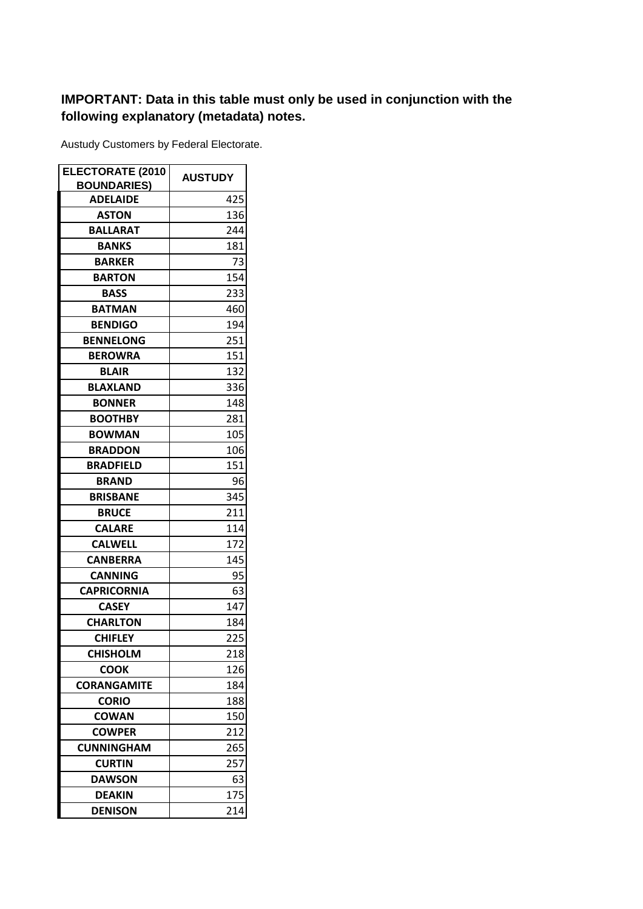## **IMPORTANT: Data in this table must only be used in conjunction with the following explanatory (metadata) notes.**

Austudy Customers by Federal Electorate.

| <b>ELECTORATE (2010</b> | <b>AUSTUDY</b> |  |
|-------------------------|----------------|--|
| <b>BOUNDARIES)</b>      |                |  |
| <b>ADELAIDE</b>         | 425            |  |
| <b>ASTON</b>            | 136            |  |
| BALLARAT                | 244            |  |
| <b>BANKS</b>            | 181            |  |
| <b>BARKER</b>           | 73             |  |
| <b>BARTON</b>           | 154            |  |
| <b>BASS</b>             | 233            |  |
| <b>BATMAN</b>           | 460            |  |
| <b>BENDIGO</b>          | 194            |  |
| <b>BENNELONG</b>        | 251            |  |
| <b>BEROWRA</b>          | 151            |  |
| <b>BLAIR</b>            | 132            |  |
| <b>BLAXLAND</b>         | 336            |  |
| <b>BONNER</b>           | 148            |  |
| <b>BOOTHBY</b>          | 281            |  |
| <b>BOWMAN</b>           | 105            |  |
| <b>BRADDON</b>          | 106            |  |
| <b>BRADFIELD</b>        | 151            |  |
| <b>BRAND</b>            | 96             |  |
| <b>BRISBANE</b>         | 345            |  |
| <b>BRUCE</b>            | 211            |  |
| <b>CALARE</b>           | 114            |  |
| <b>CALWELL</b>          | 172            |  |
| <b>CANBERRA</b>         | 145            |  |
| <b>CANNING</b>          | 95             |  |
| <b>CAPRICORNIA</b>      | 63             |  |
| <b>CASEY</b>            | 147            |  |
| <b>CHARLTON</b>         | 184            |  |
| <b>CHIFLEY</b>          | 225            |  |
| <b>CHISHOLM</b>         | 218            |  |
| <b>COOK</b>             | 126            |  |
| <b>CORANGAMITE</b>      | 184            |  |
| <b>CORIO</b>            | 188            |  |
| <b>COWAN</b>            | 150            |  |
| <b>COWPER</b>           | 212            |  |
| <b>CUNNINGHAM</b>       | 265            |  |
| <b>CURTIN</b>           | 257            |  |
| <b>DAWSON</b>           | 63             |  |
| <b>DEAKIN</b>           | 175            |  |
| <b>DENISON</b>          | 214            |  |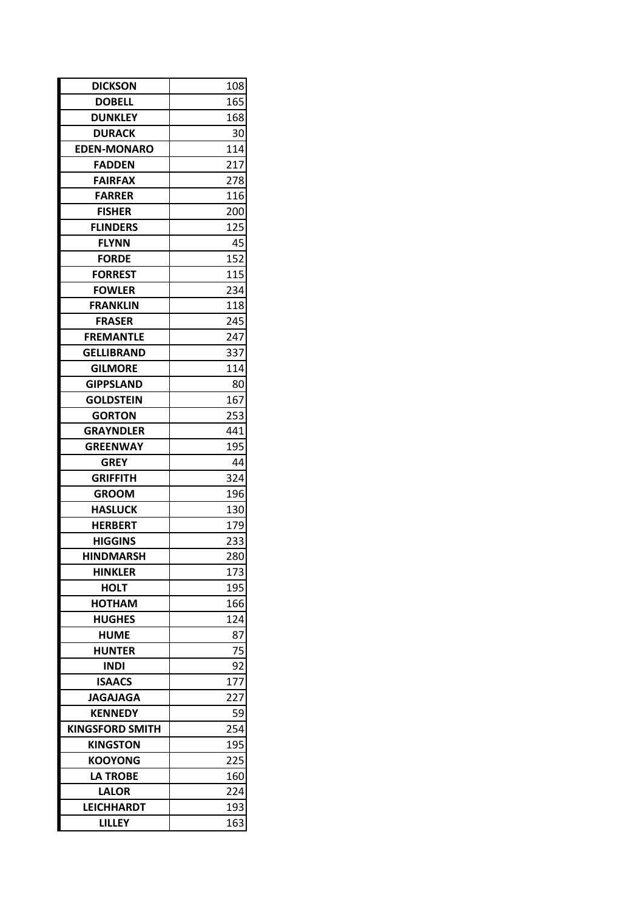| <b>DOBELL</b><br>165<br><b>DUNKLEY</b><br>168<br><b>DURACK</b><br>30<br><b>EDEN-MONARO</b><br>114<br><b>FADDEN</b><br>217<br>278<br><b>FAIRFAX</b><br><b>FARRER</b><br>116<br><b>FISHER</b><br>200<br>125<br><b>FLINDERS</b><br><b>FLYNN</b><br>45<br>152<br><b>FORDE</b><br><b>FORREST</b><br>115<br>234<br><b>FOWLER</b><br>118<br><b>FRANKLIN</b><br><b>FRASER</b><br>245<br>247<br><b>FREMANTLE</b><br>337<br><b>GELLIBRAND</b><br><b>GILMORE</b><br>114<br><b>GIPPSLAND</b><br>80<br><b>GOLDSTEIN</b><br>167<br><b>GORTON</b><br>253<br><b>GRAYNDLER</b><br>441<br>195<br><b>GREENWAY</b><br><b>GREY</b><br>44<br>324<br><b>GRIFFITH</b><br><b>GROOM</b><br>196<br><b>HASLUCK</b><br>130<br>179<br><b>HERBERT</b><br><b>HIGGINS</b><br>233<br>280<br><b>HINDMARSH</b><br><b>HINKLER</b><br>173<br><b>HOLT</b><br>195<br><b>HOTHAM</b><br>166<br><b>HUGHES</b><br>124<br><b>HUME</b><br>87<br>75<br><b>HUNTER</b><br>92<br><b>INDI</b><br><b>ISAACS</b><br>177<br><b>JAGAJAGA</b><br>227<br><b>KENNEDY</b><br>59<br><b>KINGSFORD SMITH</b><br>254<br>195<br><b>KINGSTON</b><br><b>KOOYONG</b><br>225<br><b>LA TROBE</b><br>160<br><b>LALOR</b><br>224<br><b>LEICHHARDT</b><br>193<br><b>LILLEY</b><br>163 | <b>DICKSON</b> | 108 |  |
|---------------------------------------------------------------------------------------------------------------------------------------------------------------------------------------------------------------------------------------------------------------------------------------------------------------------------------------------------------------------------------------------------------------------------------------------------------------------------------------------------------------------------------------------------------------------------------------------------------------------------------------------------------------------------------------------------------------------------------------------------------------------------------------------------------------------------------------------------------------------------------------------------------------------------------------------------------------------------------------------------------------------------------------------------------------------------------------------------------------------------------------------------------------------------------------------------------------|----------------|-----|--|
|                                                                                                                                                                                                                                                                                                                                                                                                                                                                                                                                                                                                                                                                                                                                                                                                                                                                                                                                                                                                                                                                                                                                                                                                               |                |     |  |
|                                                                                                                                                                                                                                                                                                                                                                                                                                                                                                                                                                                                                                                                                                                                                                                                                                                                                                                                                                                                                                                                                                                                                                                                               |                |     |  |
|                                                                                                                                                                                                                                                                                                                                                                                                                                                                                                                                                                                                                                                                                                                                                                                                                                                                                                                                                                                                                                                                                                                                                                                                               |                |     |  |
|                                                                                                                                                                                                                                                                                                                                                                                                                                                                                                                                                                                                                                                                                                                                                                                                                                                                                                                                                                                                                                                                                                                                                                                                               |                |     |  |
|                                                                                                                                                                                                                                                                                                                                                                                                                                                                                                                                                                                                                                                                                                                                                                                                                                                                                                                                                                                                                                                                                                                                                                                                               |                |     |  |
|                                                                                                                                                                                                                                                                                                                                                                                                                                                                                                                                                                                                                                                                                                                                                                                                                                                                                                                                                                                                                                                                                                                                                                                                               |                |     |  |
|                                                                                                                                                                                                                                                                                                                                                                                                                                                                                                                                                                                                                                                                                                                                                                                                                                                                                                                                                                                                                                                                                                                                                                                                               |                |     |  |
|                                                                                                                                                                                                                                                                                                                                                                                                                                                                                                                                                                                                                                                                                                                                                                                                                                                                                                                                                                                                                                                                                                                                                                                                               |                |     |  |
|                                                                                                                                                                                                                                                                                                                                                                                                                                                                                                                                                                                                                                                                                                                                                                                                                                                                                                                                                                                                                                                                                                                                                                                                               |                |     |  |
|                                                                                                                                                                                                                                                                                                                                                                                                                                                                                                                                                                                                                                                                                                                                                                                                                                                                                                                                                                                                                                                                                                                                                                                                               |                |     |  |
|                                                                                                                                                                                                                                                                                                                                                                                                                                                                                                                                                                                                                                                                                                                                                                                                                                                                                                                                                                                                                                                                                                                                                                                                               |                |     |  |
|                                                                                                                                                                                                                                                                                                                                                                                                                                                                                                                                                                                                                                                                                                                                                                                                                                                                                                                                                                                                                                                                                                                                                                                                               |                |     |  |
|                                                                                                                                                                                                                                                                                                                                                                                                                                                                                                                                                                                                                                                                                                                                                                                                                                                                                                                                                                                                                                                                                                                                                                                                               |                |     |  |
|                                                                                                                                                                                                                                                                                                                                                                                                                                                                                                                                                                                                                                                                                                                                                                                                                                                                                                                                                                                                                                                                                                                                                                                                               |                |     |  |
|                                                                                                                                                                                                                                                                                                                                                                                                                                                                                                                                                                                                                                                                                                                                                                                                                                                                                                                                                                                                                                                                                                                                                                                                               |                |     |  |
|                                                                                                                                                                                                                                                                                                                                                                                                                                                                                                                                                                                                                                                                                                                                                                                                                                                                                                                                                                                                                                                                                                                                                                                                               |                |     |  |
|                                                                                                                                                                                                                                                                                                                                                                                                                                                                                                                                                                                                                                                                                                                                                                                                                                                                                                                                                                                                                                                                                                                                                                                                               |                |     |  |
|                                                                                                                                                                                                                                                                                                                                                                                                                                                                                                                                                                                                                                                                                                                                                                                                                                                                                                                                                                                                                                                                                                                                                                                                               |                |     |  |
|                                                                                                                                                                                                                                                                                                                                                                                                                                                                                                                                                                                                                                                                                                                                                                                                                                                                                                                                                                                                                                                                                                                                                                                                               |                |     |  |
|                                                                                                                                                                                                                                                                                                                                                                                                                                                                                                                                                                                                                                                                                                                                                                                                                                                                                                                                                                                                                                                                                                                                                                                                               |                |     |  |
|                                                                                                                                                                                                                                                                                                                                                                                                                                                                                                                                                                                                                                                                                                                                                                                                                                                                                                                                                                                                                                                                                                                                                                                                               |                |     |  |
|                                                                                                                                                                                                                                                                                                                                                                                                                                                                                                                                                                                                                                                                                                                                                                                                                                                                                                                                                                                                                                                                                                                                                                                                               |                |     |  |
|                                                                                                                                                                                                                                                                                                                                                                                                                                                                                                                                                                                                                                                                                                                                                                                                                                                                                                                                                                                                                                                                                                                                                                                                               |                |     |  |
|                                                                                                                                                                                                                                                                                                                                                                                                                                                                                                                                                                                                                                                                                                                                                                                                                                                                                                                                                                                                                                                                                                                                                                                                               |                |     |  |
|                                                                                                                                                                                                                                                                                                                                                                                                                                                                                                                                                                                                                                                                                                                                                                                                                                                                                                                                                                                                                                                                                                                                                                                                               |                |     |  |
|                                                                                                                                                                                                                                                                                                                                                                                                                                                                                                                                                                                                                                                                                                                                                                                                                                                                                                                                                                                                                                                                                                                                                                                                               |                |     |  |
|                                                                                                                                                                                                                                                                                                                                                                                                                                                                                                                                                                                                                                                                                                                                                                                                                                                                                                                                                                                                                                                                                                                                                                                                               |                |     |  |
|                                                                                                                                                                                                                                                                                                                                                                                                                                                                                                                                                                                                                                                                                                                                                                                                                                                                                                                                                                                                                                                                                                                                                                                                               |                |     |  |
|                                                                                                                                                                                                                                                                                                                                                                                                                                                                                                                                                                                                                                                                                                                                                                                                                                                                                                                                                                                                                                                                                                                                                                                                               |                |     |  |
|                                                                                                                                                                                                                                                                                                                                                                                                                                                                                                                                                                                                                                                                                                                                                                                                                                                                                                                                                                                                                                                                                                                                                                                                               |                |     |  |
|                                                                                                                                                                                                                                                                                                                                                                                                                                                                                                                                                                                                                                                                                                                                                                                                                                                                                                                                                                                                                                                                                                                                                                                                               |                |     |  |
|                                                                                                                                                                                                                                                                                                                                                                                                                                                                                                                                                                                                                                                                                                                                                                                                                                                                                                                                                                                                                                                                                                                                                                                                               |                |     |  |
|                                                                                                                                                                                                                                                                                                                                                                                                                                                                                                                                                                                                                                                                                                                                                                                                                                                                                                                                                                                                                                                                                                                                                                                                               |                |     |  |
|                                                                                                                                                                                                                                                                                                                                                                                                                                                                                                                                                                                                                                                                                                                                                                                                                                                                                                                                                                                                                                                                                                                                                                                                               |                |     |  |
|                                                                                                                                                                                                                                                                                                                                                                                                                                                                                                                                                                                                                                                                                                                                                                                                                                                                                                                                                                                                                                                                                                                                                                                                               |                |     |  |
|                                                                                                                                                                                                                                                                                                                                                                                                                                                                                                                                                                                                                                                                                                                                                                                                                                                                                                                                                                                                                                                                                                                                                                                                               |                |     |  |
|                                                                                                                                                                                                                                                                                                                                                                                                                                                                                                                                                                                                                                                                                                                                                                                                                                                                                                                                                                                                                                                                                                                                                                                                               |                |     |  |
|                                                                                                                                                                                                                                                                                                                                                                                                                                                                                                                                                                                                                                                                                                                                                                                                                                                                                                                                                                                                                                                                                                                                                                                                               |                |     |  |
|                                                                                                                                                                                                                                                                                                                                                                                                                                                                                                                                                                                                                                                                                                                                                                                                                                                                                                                                                                                                                                                                                                                                                                                                               |                |     |  |
|                                                                                                                                                                                                                                                                                                                                                                                                                                                                                                                                                                                                                                                                                                                                                                                                                                                                                                                                                                                                                                                                                                                                                                                                               |                |     |  |
|                                                                                                                                                                                                                                                                                                                                                                                                                                                                                                                                                                                                                                                                                                                                                                                                                                                                                                                                                                                                                                                                                                                                                                                                               |                |     |  |
|                                                                                                                                                                                                                                                                                                                                                                                                                                                                                                                                                                                                                                                                                                                                                                                                                                                                                                                                                                                                                                                                                                                                                                                                               |                |     |  |
|                                                                                                                                                                                                                                                                                                                                                                                                                                                                                                                                                                                                                                                                                                                                                                                                                                                                                                                                                                                                                                                                                                                                                                                                               |                |     |  |
|                                                                                                                                                                                                                                                                                                                                                                                                                                                                                                                                                                                                                                                                                                                                                                                                                                                                                                                                                                                                                                                                                                                                                                                                               |                |     |  |
|                                                                                                                                                                                                                                                                                                                                                                                                                                                                                                                                                                                                                                                                                                                                                                                                                                                                                                                                                                                                                                                                                                                                                                                                               |                |     |  |
|                                                                                                                                                                                                                                                                                                                                                                                                                                                                                                                                                                                                                                                                                                                                                                                                                                                                                                                                                                                                                                                                                                                                                                                                               |                |     |  |
|                                                                                                                                                                                                                                                                                                                                                                                                                                                                                                                                                                                                                                                                                                                                                                                                                                                                                                                                                                                                                                                                                                                                                                                                               |                |     |  |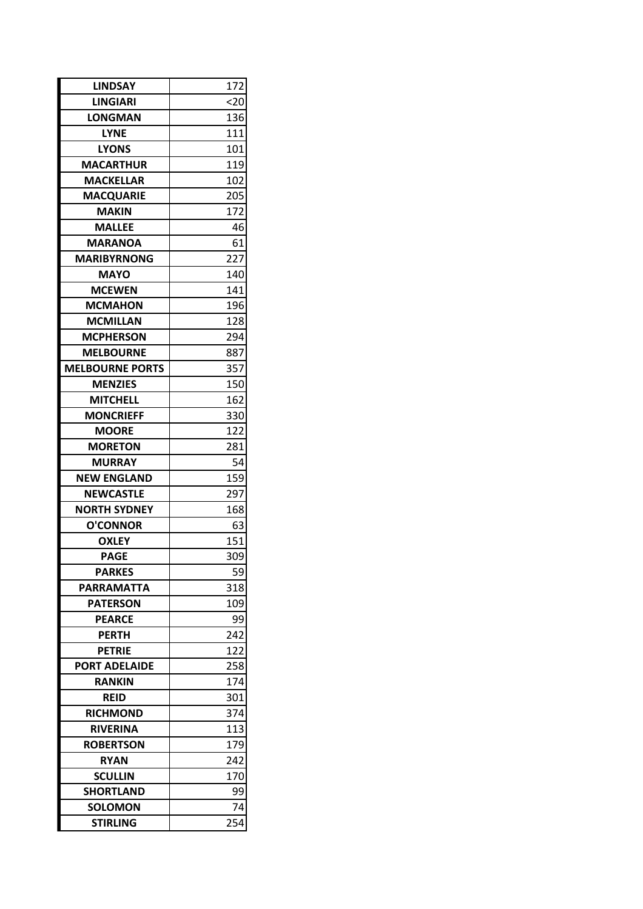| <b>LINDSAY</b>                    | 172 |  |
|-----------------------------------|-----|--|
| <b>LINGIARI</b>                   | 20  |  |
| <b>LONGMAN</b>                    | 136 |  |
| <b>LYNE</b>                       | 111 |  |
| <b>LYONS</b>                      | 101 |  |
| <b>MACARTHUR</b>                  | 119 |  |
| <b>MACKELLAR</b>                  | 102 |  |
| <b>MACQUARIE</b>                  | 205 |  |
| <b>MAKIN</b>                      | 172 |  |
| <b>MALLEE</b>                     | 46  |  |
| <b>MARANOA</b>                    | 61  |  |
| <b>MARIBYRNONG</b>                | 227 |  |
| <b>MAYO</b>                       | 140 |  |
| <b>MCEWEN</b>                     | 141 |  |
| <b>MCMAHON</b>                    | 196 |  |
| <b>MCMILLAN</b>                   | 128 |  |
| <b>MCPHERSON</b>                  | 294 |  |
| <b>MELBOURNE</b>                  | 887 |  |
| <b>MELBOURNE PORTS</b>            | 357 |  |
| <b>MENZIES</b>                    | 150 |  |
| <b>MITCHELL</b>                   | 162 |  |
| <b>MONCRIEFF</b>                  | 330 |  |
| <b>MOORE</b>                      | 122 |  |
| <b>MORETON</b>                    | 281 |  |
| <b>MURRAY</b>                     | 54  |  |
| <b>NEW ENGLAND</b>                | 159 |  |
| <b>NEWCASTLE</b>                  | 297 |  |
| <b>NORTH SYDNEY</b>               | 168 |  |
| <b>O'CONNOR</b>                   | 63  |  |
| <b>OXLEY</b>                      | 151 |  |
| <b>PAGE</b>                       | 309 |  |
| <b>PARKES</b>                     | 59  |  |
| <b>PARRAMATTA</b>                 | 318 |  |
| <b>PATERSON</b>                   | 109 |  |
| <b>PEARCE</b>                     | 99  |  |
| <b>PERTH</b>                      | 242 |  |
| <b>PETRIE</b>                     | 122 |  |
| <b>PORT ADELAIDE</b>              | 258 |  |
| <b>RANKIN</b>                     | 174 |  |
| <b>REID</b>                       | 301 |  |
| <b>RICHMOND</b>                   | 374 |  |
| <b>RIVERINA</b>                   | 113 |  |
| <b>ROBERTSON</b>                  | 179 |  |
| <b>RYAN</b>                       | 242 |  |
| <b>SCULLIN</b>                    | 170 |  |
| <b>SHORTLAND</b>                  | 99  |  |
|                                   | 74  |  |
| <b>SOLOMON</b><br><b>STIRLING</b> | 254 |  |
|                                   |     |  |